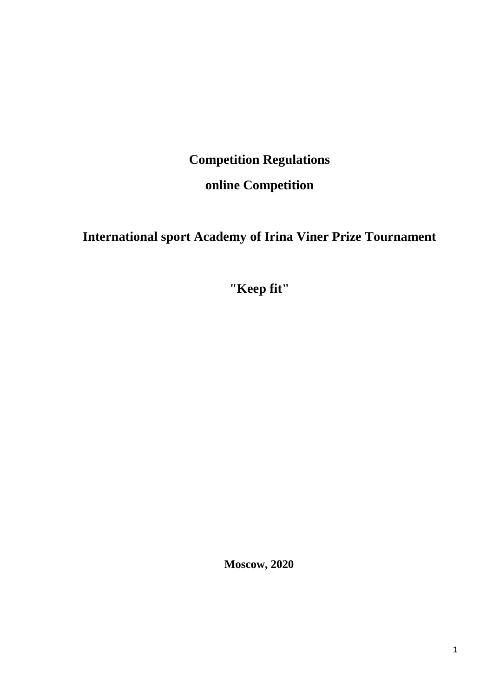# **Competition Regulations**

## **online Competition**

# **International sport Academy of Irina Viner Prize Tournament**

**"Keep fit"**

**Moscow, 2020**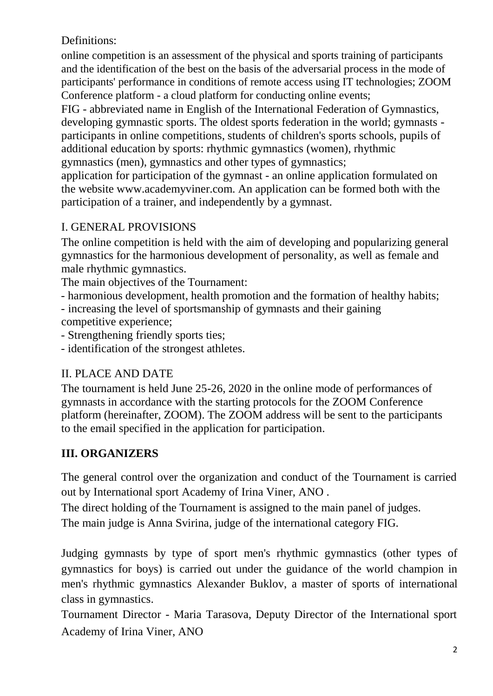Definitions:

online competition is an assessment of the physical and sports training of participants and the identification of the best on the basis of the adversarial process in the mode of participants' performance in conditions of remote access using IT technologies; ZOOM Conference platform - a cloud platform for conducting online events;

FIG - abbreviated name in English of the International Federation of Gymnastics, developing gymnastic sports. The oldest sports federation in the world; gymnasts participants in online competitions, students of children's sports schools, pupils of additional education by sports: rhythmic gymnastics (women), rhythmic gymnastics (men), gymnastics and other types of gymnastics;

application for participation of the gymnast - an online application formulated on the website www.academyviner.com. An application can be formed both with the participation of a trainer, and independently by a gymnast.

## I. GENERAL PROVISIONS

The online competition is held with the aim of developing and popularizing general gymnastics for the harmonious development of personality, as well as female and male rhythmic gymnastics.

The main objectives of the Tournament:

- harmonious development, health promotion and the formation of healthy habits;

- increasing the level of sportsmanship of gymnasts and their gaining competitive experience;

- Strengthening friendly sports ties;

- identification of the strongest athletes.

## II. PLACE AND DATE

The tournament is held June 25-26, 2020 in the online mode of performances of gymnasts in accordance with the starting protocols for the ZOOM Conference platform (hereinafter, ZOOM). The ZOOM address will be sent to the participants to the email specified in the application for participation.

## **III. ORGANIZERS**

The general control over the organization and conduct of the Tournament is carried out by International sport Academy of Irina Viner, ANO .

The direct holding of the Tournament is assigned to the main panel of judges.

The main judge is Anna Svirina, judge of the international category FIG.

Judging gymnasts by type of sport men's rhythmic gymnastics (other types of gymnastics for boys) is carried out under the guidance of the world champion in men's rhythmic gymnastics Alexander Buklov, a master of sports of international class in gymnastics.

Tournament Director - Maria Tarasova, Deputy Director of the International sport Academy of Irina Viner, ANO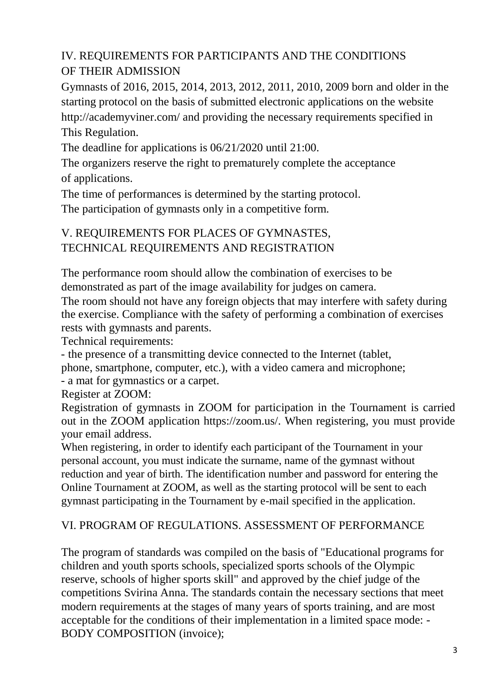## IV. REQUIREMENTS FOR PARTICIPANTS AND THE CONDITIONS OF THEIR ADMISSION

Gymnasts of 2016, 2015, 2014, 2013, 2012, 2011, 2010, 2009 born and older in the starting protocol on the basis of submitted electronic applications on the website http://academyviner.com/ and providing the necessary requirements specified in This Regulation.

The deadline for applications is 06/21/2020 until 21:00.

The organizers reserve the right to prematurely complete the acceptance of applications.

The time of performances is determined by the starting protocol.

The participation of gymnasts only in a competitive form.

## V. REQUIREMENTS FOR PLACES OF GYMNASTES, TECHNICAL REQUIREMENTS AND REGISTRATION

The performance room should allow the combination of exercises to be demonstrated as part of the image availability for judges on camera.

The room should not have any foreign objects that may interfere with safety during the exercise. Compliance with the safety of performing a combination of exercises rests with gymnasts and parents.

Technical requirements:

- the presence of a transmitting device connected to the Internet (tablet,

phone, smartphone, computer, etc.), with a video camera and microphone;

- a mat for gymnastics or a carpet.

Register at ZOOM:

Registration of gymnasts in ZOOM for participation in the Tournament is carried out in the ZOOM application https://zoom.us/. When registering, you must provide your email address.

When registering, in order to identify each participant of the Tournament in your personal account, you must indicate the surname, name of the gymnast without reduction and year of birth. The identification number and password for entering the Online Tournament at ZOOM, as well as the starting protocol will be sent to each gymnast participating in the Tournament by e-mail specified in the application.

## VI. PROGRAM OF REGULATIONS. ASSESSMENT OF PERFORMANCE

The program of standards was compiled on the basis of "Educational programs for children and youth sports schools, specialized sports schools of the Olympic reserve, schools of higher sports skill" and approved by the chief judge of the competitions Svirina Anna. The standards contain the necessary sections that meet modern requirements at the stages of many years of sports training, and are most acceptable for the conditions of their implementation in a limited space mode: - BODY COMPOSITION (invoice);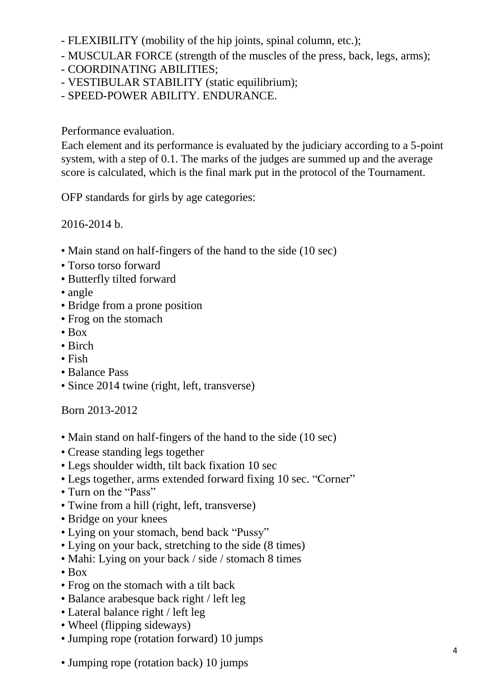- FLEXIBILITY (mobility of the hip joints, spinal column, etc.);
- MUSCULAR FORCE (strength of the muscles of the press, back, legs, arms);
- COORDINATING ABILITIES;
- VESTIBULAR STABILITY (static equilibrium);
- SPEED-POWER ABILITY. ENDURANCE.

Performance evaluation.

Each element and its performance is evaluated by the judiciary according to a 5-point system, with a step of 0.1. The marks of the judges are summed up and the average score is calculated, which is the final mark put in the protocol of the Tournament.

OFP standards for girls by age categories:

2016-2014 b.

- Main stand on half-fingers of the hand to the side (10 sec)
- Torso torso forward
- Butterfly tilted forward
- angle
- Bridge from a prone position
- Frog on the stomach
- Box
- Birch
- Fish
- Balance Pass
- Since 2014 twine (right, left, transverse)

Born 2013-2012

- Main stand on half-fingers of the hand to the side (10 sec)
- Crease standing legs together
- Legs shoulder width, tilt back fixation 10 sec
- Legs together, arms extended forward fixing 10 sec. "Corner"
- Turn on the "Pass"
- Twine from a hill (right, left, transverse)
- Bridge on your knees
- Lying on your stomach, bend back "Pussy"
- Lying on your back, stretching to the side (8 times)
- Mahi: Lying on your back / side / stomach 8 times
- Box
- Frog on the stomach with a tilt back
- Balance arabesque back right / left leg
- Lateral balance right / left leg
- Wheel (flipping sideways)
- Jumping rope (rotation forward) 10 jumps
- Jumping rope (rotation back) 10 jumps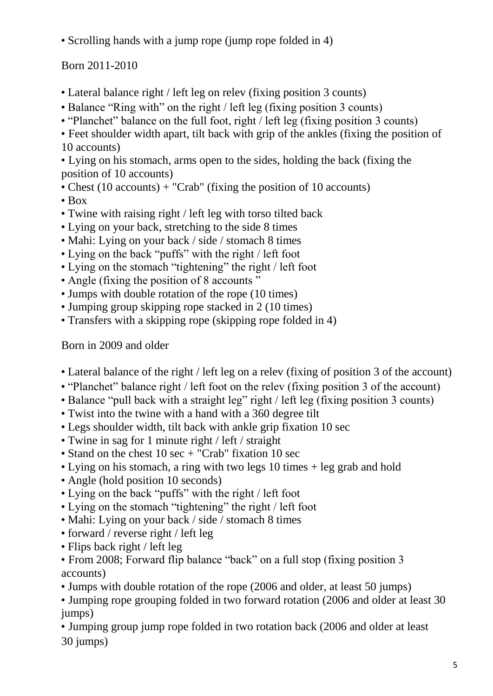• Scrolling hands with a jump rope (jump rope folded in 4)

Born 2011-2010

- Lateral balance right / left leg on relev (fixing position 3 counts)
- Balance "Ring with" on the right / left leg (fixing position 3 counts)
- "Planchet" balance on the full foot, right / left leg (fixing position 3 counts)

• Feet shoulder width apart, tilt back with grip of the ankles (fixing the position of 10 accounts)

• Lying on his stomach, arms open to the sides, holding the back (fixing the position of 10 accounts)

- Chest (10 accounts) + "Crab" (fixing the position of 10 accounts)
- Box
- Twine with raising right / left leg with torso tilted back
- Lying on your back, stretching to the side 8 times
- Mahi: Lying on your back / side / stomach 8 times
- Lying on the back "puffs" with the right / left foot
- Lying on the stomach "tightening" the right / left foot
- Angle (fixing the position of 8 accounts "
- Jumps with double rotation of the rope (10 times)
- Jumping group skipping rope stacked in 2 (10 times)
- Transfers with a skipping rope (skipping rope folded in 4)

Born in 2009 and older

- Lateral balance of the right / left leg on a relev (fixing of position 3 of the account)
- "Planchet" balance right / left foot on the relev (fixing position 3 of the account)
- Balance "pull back with a straight leg" right / left leg (fixing position 3 counts)
- Twist into the twine with a hand with a 360 degree tilt
- Legs shoulder width, tilt back with ankle grip fixation 10 sec
- Twine in sag for 1 minute right / left / straight
- Stand on the chest 10 sec + "Crab" fixation 10 sec
- Lying on his stomach, a ring with two legs 10 times + leg grab and hold
- Angle (hold position 10 seconds)
- Lying on the back "puffs" with the right / left foot
- Lying on the stomach "tightening" the right / left foot
- Mahi: Lying on your back / side / stomach 8 times
- forward / reverse right / left leg
- Flips back right / left leg

• From 2008; Forward flip balance "back" on a full stop (fixing position 3 accounts)

• Jumps with double rotation of the rope (2006 and older, at least 50 jumps)

• Jumping rope grouping folded in two forward rotation (2006 and older at least 30 jumps)

• Jumping group jump rope folded in two rotation back (2006 and older at least 30 jumps)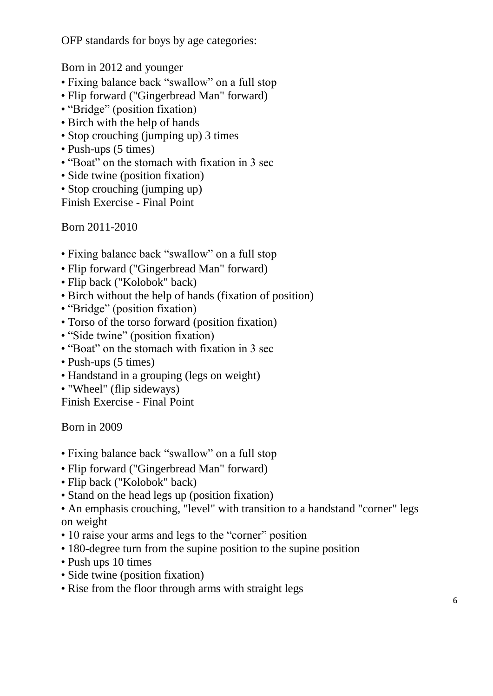OFP standards for boys by age categories:

Born in 2012 and younger

- Fixing balance back "swallow" on a full stop
- Flip forward ("Gingerbread Man" forward)
- "Bridge" (position fixation)
- Birch with the help of hands
- Stop crouching (jumping up) 3 times
- Push-ups (5 times)
- "Boat" on the stomach with fixation in 3 sec
- Side twine (position fixation)
- Stop crouching (jumping up)

Finish Exercise - Final Point

Born 2011-2010

- Fixing balance back "swallow" on a full stop
- Flip forward ("Gingerbread Man" forward)
- Flip back ("Kolobok" back)
- Birch without the help of hands (fixation of position)
- "Bridge" (position fixation)
- Torso of the torso forward (position fixation)
- "Side twine" (position fixation)
- "Boat" on the stomach with fixation in 3 sec
- Push-ups (5 times)
- Handstand in a grouping (legs on weight)
- "Wheel" (flip sideways)

Finish Exercise - Final Point

Born in 2009

- Fixing balance back "swallow" on a full stop
- Flip forward ("Gingerbread Man" forward)
- Flip back ("Kolobok" back)
- Stand on the head legs up (position fixation)
- An emphasis crouching, "level" with transition to a handstand "corner" legs on weight
- 10 raise your arms and legs to the "corner" position
- 180-degree turn from the supine position to the supine position
- Push ups 10 times
- Side twine (position fixation)
- Rise from the floor through arms with straight legs